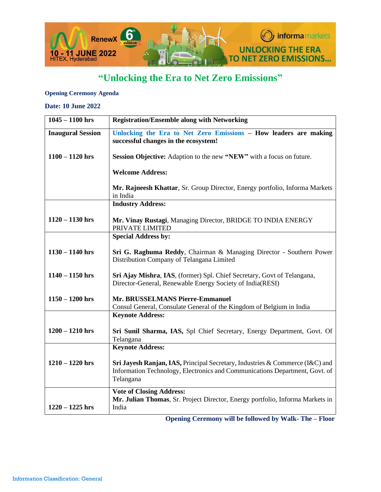

# **"Unlocking the Era to Net Zero Emissions"**

#### **Opening Ceremony Agenda**

#### **Date: 10 June 2022**

| $1045 - 1100$ hrs        | <b>Registration/Ensemble along with Networking</b>                                                                                                                       |
|--------------------------|--------------------------------------------------------------------------------------------------------------------------------------------------------------------------|
| <b>Inaugural Session</b> | Unlocking the Era to Net Zero Emissions - How leaders are making<br>successful changes in the ecosystem!                                                                 |
| $1100 - 1120$ hrs        | Session Objective: Adaption to the new "NEW" with a focus on future.                                                                                                     |
|                          | <b>Welcome Address:</b>                                                                                                                                                  |
|                          | Mr. Rajneesh Khattar, Sr. Group Director, Energy portfolio, Informa Markets<br>in India                                                                                  |
|                          | <b>Industry Address:</b>                                                                                                                                                 |
| $1120 - 1130$ hrs        | Mr. Vinay Rustagi, Managing Director, BRIDGE TO INDIA ENERGY<br>PRIVATE LIMITED                                                                                          |
|                          | <b>Special Address by:</b>                                                                                                                                               |
| $1130 - 1140$ hrs        | Sri G. Raghuma Reddy, Chairman & Managing Director - Southern Power<br>Distribution Company of Telangana Limited                                                         |
| $1140 - 1150$ hrs        | Sri Ajay Mishra, IAS, (former) Spl. Chief Secretary, Govt of Telangana,<br>Director-General, Renewable Energy Society of India(RESI)                                     |
| $1150 - 1200$ hrs        | Mr. BRUSSELMANS Pierre-Emmanuel<br>Consul General, Consulate General of the Kingdom of Belgium in India                                                                  |
|                          | <b>Keynote Address:</b>                                                                                                                                                  |
| $1200 - 1210$ hrs        | Sri Sunil Sharma, IAS, Spl Chief Secretary, Energy Department, Govt. Of<br>Telangana                                                                                     |
|                          | <b>Keynote Address:</b>                                                                                                                                                  |
| $1210 - 1220$ hrs        | Sri Jayesh Ranjan, IAS, Principal Secretary, Industries & Commerce (I&C) and<br>Information Technology, Electronics and Communications Department, Govt. of<br>Telangana |
| $1220 - 1225$ hrs        | <b>Vote of Closing Address:</b><br>Mr. Julian Thomas, Sr. Project Director, Energy portfolio, Informa Markets in<br>India                                                |

 **Opening Ceremony will be followed by Walk- The – Floor**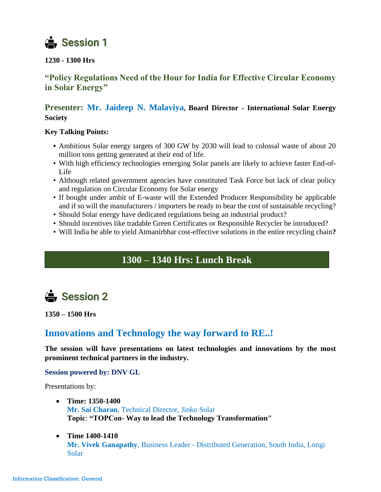

#### **1230 - 1300 Hrs**

### **"Policy Regulations Need of the Hour for India for Effective Circular Economy in Solar Energy"**

### **Presenter: Mr. Jaideep N. Malaviya, Board Director - International Solar Energy Society**

#### **Key Talking Points:**

- **•** Ambitious Solar energy targets of 300 GW by 2030 will lead to colossal waste of about 20 million tons getting generated at their end of life.
- With high efficiency technologies emerging Solar panels are likely to achieve faster End-of-Life
- Although related government agencies have constituted Task Force but lack of clear policy and regulation on Circular Economy for Solar energy
- If bought under ambit of E-waste will the Extended Producer Responsibility be applicable and if so will the manufacturers / importers be ready to bear the cost of sustainable recycling?
- Should Solar energy have dedicated regulations being an industrial product?
- Should incentives like tradable Green Certificates or Responsible Recycler be introduced?
- Will India be able to yield Atmanirbhar cost-effective solutions in the entire recycling chain**?**

## **1300 – 1340 Hrs: Lunch Break**



**1350 – 1500 Hrs**

## **Innovations and Technology the way forward to RE..!**

**The session will have presentations on latest technologies and innovations by the most prominent technical partners in the industry.**

#### **Session powered by: DNV GL**

Presentations by:

- **Time: 1350-1400 Mr. Sai Charan**, Technical Director, Jinko Solar **Topic**: **"TOPCon- Way to lead the Technology Transformation"**
- **Time 1400-1410 Mr. Vivek Ganapathy**, Business Leader - Distributed Generation, South India, Longi Solar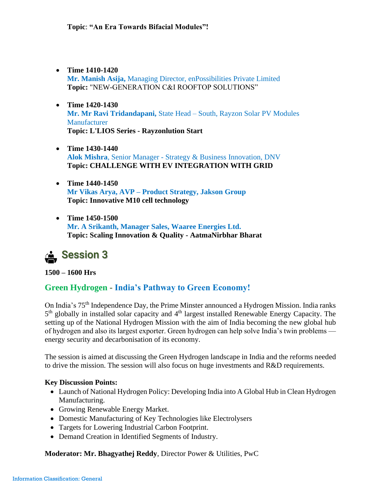- **Time 1410-1420 Mr. Manish Asija,** Managing Director, enPossibilities Private Limited **Topic:** "NEW-GENERATION C&I ROOFTOP SOLUTIONS"
- **Time 1420-1430 Mr. Mr Ravi Tridandapani,** State Head – South, Rayzon Solar PV Modules Manufacturer **Topic: L'LIOS Series - Rayzonlution Start**
- **Time 1430-1440 Alok Mishra**, Senior Manager - Strategy & Business Innovation, DNV **Topic: CHALLENGE WITH EV INTEGRATION WITH GRID**
- **Time 1440-1450 Mr Vikas Arya, AVP – Product Strategy, Jakson Group Topic: Innovative M10 cell technology**
- **Time 1450-1500 Mr. A Srikanth, Manager Sales, Waaree Energies Ltd. Topic: Scaling Innovation & Quality - AatmaNirbhar Bharat**

# Session 3

**1500 – 1600 Hrs** 

### **Green Hydrogen - India's Pathway to Green Economy!**

On India's 75th Independence Day, the Prime Minster announced a Hydrogen Mission. India ranks 5<sup>th</sup> globally in installed solar capacity and 4<sup>th</sup> largest installed Renewable Energy Capacity. The setting up of the National Hydrogen Mission with the aim of India becoming the new global hub of hydrogen and also its largest exporter. Green hydrogen can help solve India's twin problems energy security and decarbonisation of its economy.

The session is aimed at discussing the Green Hydrogen landscape in India and the reforms needed to drive the mission. The session will also focus on huge investments and R&D requirements.

#### **Key Discussion Points:**

- Launch of National Hydrogen Policy: Developing India into A Global Hub in Clean Hydrogen Manufacturing.
- Growing Renewable Energy Market.
- Domestic Manufacturing of Key Technologies like Electrolysers
- Targets for Lowering Industrial Carbon Footprint.
- Demand Creation in Identified Segments of Industry.

**Moderator: Mr. Bhagyathej Reddy**, Director Power & Utilities, PwC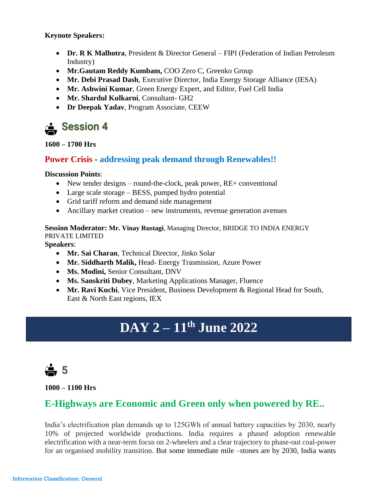**Keynote Speakers:**

- **Dr. R K Malhotra**, President & Director General FIPI (Federation of Indian Petroleum Industry)
- **Mr.Gautam Reddy Kumbam,** COO Zero C, Greenko Group
- **Mr. Debi Prasad Dash**, Executive Director, India Energy Storage Alliance (IESA)
- **Mr. Ashwini Kumar**, Green Energy Expert, and Editor, Fuel Cell India
- **Mr. Shardul Kulkarni**, Consultant- GH2
- **Dr Deepak Yadav**, Program Associate, CEEW



**1600 – 1700 Hrs** 

### **Power Crisis - addressing peak demand through Renewables!!**

#### **Discussion Points**:

- New tender designs round-the-clock, peak power, RE+ conventional
- Large scale storage BESS, pumped hydro potential
- Grid tariff reform and demand side management
- Ancillary market creation new instruments, revenue generation avenues

#### **Session Moderator: Mr. Vinay Rustagi**, Managing Director, BRIDGE TO INDIA ENERGY PRIVATE LIMITED

**Speakers**:

- **Mr. Sai Charan**, Technical Director, Jinko Solar
- **Mr. Siddharth Malik,** Head- Energy Trasmission, Azure Power
- **Ms. Modini,** Senior Consultant, DNV
- **Ms. Sanskriti Dubey**, Marketing Applications Manager, Fluence
- **Mr. Ravi Kuchi**, Vice President, Business Development & Regional Head for South, East & North East regions, IEX

# **DAY 2 – 11th June 2022**

 $\frac{1}{2}$  5

**1000 – 1100 Hrs**

# **E-Highways are Economic and Green only when powered by RE..**

India's electrification plan demands up to 125GWh of annual battery capacities by 2030, nearly 10% of projected worldwide productions. India requires a phased adoption renewable electrification with a near-term focus on 2-wheelers and a clear trajectory to phase-out coal-power for an organised mobility transition. But some immediate mile –stones are by 2030, India wants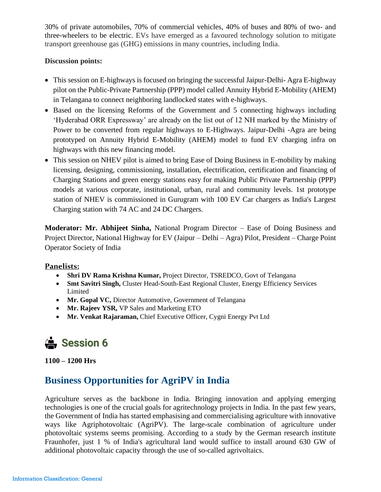30% of private automobiles, 70% of commercial vehicles, 40% of buses and 80% of two- and three-wheelers to be electric. EVs have emerged as a favoured technology solution to mitigate transport greenhouse gas (GHG) emissions in many countries, including India.

#### **Discussion points:**

- This session on E-highways is focused on bringing the successful Jaipur-Delhi- Agra E-highway pilot on the Public-Private Partnership (PPP) model called Annuity Hybrid E-Mobility (AHEM) in Telangana to connect neighboring landlocked states with e-highways.
- Based on the licensing Reforms of the Government and 5 connecting highways including 'Hyderabad ORR Expressway' are already on the list out of 12 NH marked by the Ministry of Power to be converted from regular highways to E-Highways. Jaipur-Delhi -Agra are being prototyped on Annuity Hybrid E-Mobility (AHEM) model to fund EV charging infra on highways with this new financing model.
- This session on NHEV pilot is aimed to bring Ease of Doing Business in E-mobility by making licensing, designing, commissioning, installation, electrification, certification and financing of Charging Stations and green energy stations easy for making Public Private Partnership (PPP) models at various corporate, institutional, urban, rural and community levels. 1st prototype station of NHEV is commissioned in Gurugram with 100 EV Car chargers as India's Largest Charging station with 74 AC and 24 DC Chargers.

**Moderator: Mr. Abhijeet Sinha,** National Program Director – Ease of Doing Business and Project Director, National Highway for EV (Jaipur – Delhi – Agra) Pilot, President – Charge Point Operator Society of India

#### **Panelists:**

- **Shri DV Rama Krishna Kumar,** Project Director, TSREDCO, Govt of Telangana
- **Smt Savitri Singh,** Cluster Head-South-East Regional Cluster, Energy Efficiency Services Limited
- **Mr. Gopal VC, Director Automotive, Government of Telangana**
- **Mr. Rajeev YSR,** VP Sales and Marketing ETO
- **Mr. Venkat Rajaraman,** Chief Executive Officer, Cygni Energy Pvt Ltd

# Session 6

**1100 – 1200 Hrs**

# **Business Opportunities for AgriPV in India**

Agriculture serves as the backbone in India. Bringing innovation and applying emerging technologies is one of the crucial goals for agritechnology projects in India. In the past few years, the Government of India has started emphasising and commercialising agriculture with innovative ways like Agriphotovoltaic (AgriPV). The large-scale combination of agriculture under photovoltaic systems seems promising. According to a study by the German research institute Fraunhofer, just 1 % of India's agricultural land would suffice to install around 630 GW of additional photovoltaic capacity through the use of so-called agrivoltaics.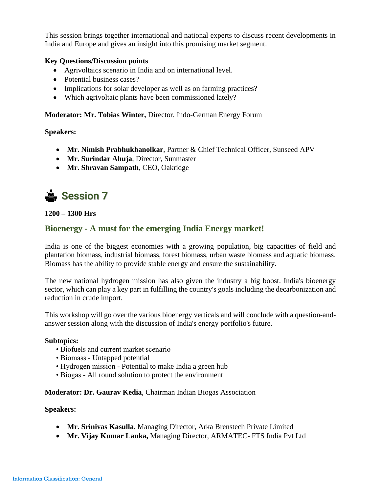This session brings together international and national experts to discuss recent developments in India and Europe and gives an insight into this promising market segment.

#### **Key Questions/Discussion points**

- Agrivoltaics scenario in India and on international level.
- Potential business cases?
- Implications for solar developer as well as on farming practices?
- Which agrivoltaic plants have been commissioned lately?

#### **Moderator: Mr. Tobias Winter,** Director, Indo-German Energy Forum

**Speakers:** 

- **Mr. Nimish Prabhukhanolkar**, Partner & Chief Technical Officer, Sunseed APV
- **Mr. Surindar Ahuja**, Director, Sunmaster
- **Mr. Shravan Sampath**, CEO, Oakridge



**1200 – 1300 Hrs**

### **Bioenergy - A must for the emerging India Energy market!**

India is one of the biggest economies with a growing population, big capacities of field and plantation biomass, industrial biomass, forest biomass, urban waste biomass and aquatic biomass. Biomass has the ability to provide stable energy and ensure the sustainability.

The new national hydrogen mission has also given the industry a big boost. India's bioenergy sector, which can play a key part in fulfilling the country's goals including the decarbonization and reduction in crude import.

This workshop will go over the various bioenergy verticals and will conclude with a question-andanswer session along with the discussion of India's energy portfolio's future.

#### **Subtopics:**

- Biofuels and current market scenario
- Biomass Untapped potential
- Hydrogen mission Potential to make India a green hub
- Biogas All round solution to protect the environment

#### **Moderator: Dr. Gaurav Kedia**, Chairman Indian Biogas Association

#### **Speakers:**

- **Mr. Srinivas Kasulla**, Managing Director, Arka Brenstech Private Limited
- **Mr. Vijay Kumar Lanka,** Managing Director, ARMATEC- FTS India Pvt Ltd